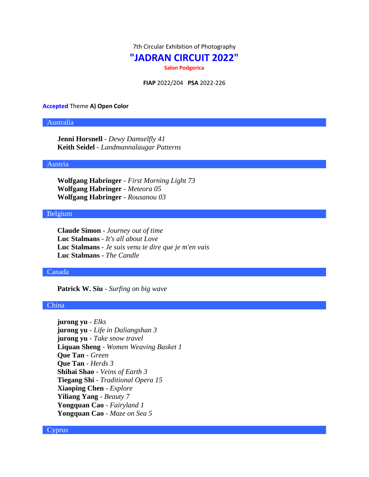7th Circular Exhibition of Photography

# **"JADRAN CIRCUIT 2022"**

**Salon Podgorica**

**FIAP** 2022/204 **PSA** 2022-226

#### **Accepted** Theme **A) Open Color**

# Australia

**Jenni Horsnell** - *Dewy Damselfly 41* **Keith Seidel** - *Landmannalaugar Patterns*

#### Austria

**Wolfgang Habringer** - *First Morning Light 73* **Wolfgang Habringer** - *Meteora 05* **Wolfgang Habringer** - *Rousanou 03*

# Belgium

**Claude Simon** - *Journey out of time* **Luc Stalmans** - *It's all about Love* **Luc Stalmans** - *Je suis venu te dire que je m'en vais* **Luc Stalmans** - *The Candle*

## Canada

**Patrick W. Siu** - *Surfing on big wave*

# China

**jurong yu** - *Elks* **jurong yu** - *Life in Daliangshan 3* **jurong yu** - *Take snow travel* **Liquan Sheng** - *Women Weaving Basket 1* **Que Tan** - *Green* **Que Tan** - *Herds 3* **Shihai Shao** - *Veins of Earth 3* **Tiegang Shi** - *Traditional Opera 15* **Xiaoping Chen** - *Explore* **Yiliang Yang** - *Beauty 7* **Yongquan Cao** - *Fairyland 1* **Yongquan Cao** - *Maze on Sea 5*

## Cyprus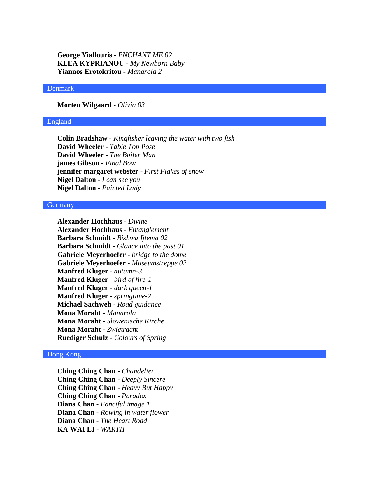**George Yiallouris** - *ENCHANT ME 02* **KLEA KYPRIANOU** - *My Newborn Baby* **Yiannos Erotokritou** - *Manarola 2*

#### Denmark

**Morten Wilgaard** - *Olivia 03*

## England

**Colin Bradshaw** - *Kingfisher leaving the water with two fish* **David Wheeler** - *Table Top Pose* **David Wheeler** - *The Boiler Man* **james Gibson** - *Final Bow* **jennifer margaret webster** - *First Flakes of snow* **Nigel Dalton** - *I can see you* **Nigel Dalton** - *Painted Lady*

#### **Germany**

**Alexander Hochhaus** - *Divine* **Alexander Hochhaus** - *Entanglement* **Barbara Schmidt** - *Bishwa Ijtema 02* **Barbara Schmidt** - *Glance into the past 01* **Gabriele Meyerhoefer** - *bridge to the dome* **Gabriele Meyerhoefer** - *Museumstreppe 02* **Manfred Kluger** - *autumn-3* **Manfred Kluger** - *bird of fire-1* **Manfred Kluger** - *dark queen-1* **Manfred Kluger** - *springtime-2* **Michael Sachweh** - *Road guidance* **Mona Moraht** - *Manarola* **Mona Moraht** - *Slowenische Kirche* **Mona Moraht** - *Zwietracht* **Ruediger Schulz** - *Colours of Spring*

# Hong Kong

**Ching Ching Chan** - *Chandelier* **Ching Ching Chan** - *Deeply Sincere* **Ching Ching Chan** - *Heavy But Happy* **Ching Ching Chan** - *Paradox* **Diana Chan** - *Fanciful image 1* **Diana Chan** - *Rowing in water flower* **Diana Chan** - *The Heart Road* **KA WAI LI** - *WARTH*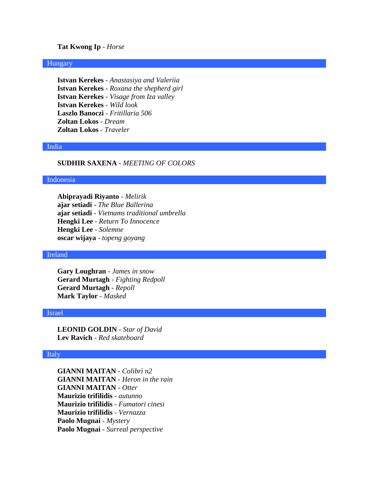# **Tat Kwong Ip** - *Horse*

## Hungary

**Istvan Kerekes** - *Anastasiya and Valeriia* **Istvan Kerekes** - *Roxana the shepherd girl* **Istvan Kerekes** - *Visage from Iza valley* **Istvan Kerekes** - *Wild look* **Laszlo Banoczi** - *Fritillaria 506* **Zoltan Lokos** - *Dream* **Zoltan Lokos** - *Traveler*

#### India

# **SUDHIR SAXENA** - *MEETING OF COLORS*

#### Indonesia

**Abiprayadi Riyanto** - *Melirik* **ajar setiadi** - *The Blue Ballerina* **ajar setiadi** - *Vietnams traditional umbrella* **Hengki Lee** - *Return To Innocence* **Hengki Lee** - *Solemne* **oscar wijaya** - *topeng goyang*

#### Ireland

**Gary Loughran** - *James in snow* **Gerard Murtagh** - *Fighting Redpoll* **Gerard Murtagh** - *Repoll* **Mark Taylor** - *Masked*

#### Israel

**LEONID GOLDIN** - *Star of David* **Lev Ravich** - *Red skateboard*

### Italy

**GIANNI MAITAN** - *Colibrì n2* **GIANNI MAITAN** - *Heron in the rain* **GIANNI MAITAN** - *Otter* **Maurizio trifilidis** - *autunno* **Maurizio trifilidis** - *Fumatori cinesi* **Maurizio trifilidis** - *Vernazza* **Paolo Mugnai** - *Mystery* **Paolo Mugnai** - *Surreal perspective*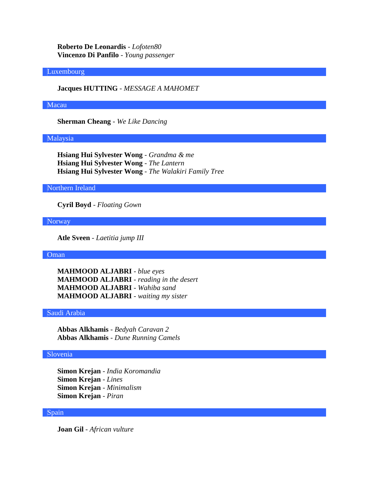**Roberto De Leonardis** - *Lofoten80* **Vincenzo Di Panfilo** - *Young passenger*

## Luxembourg

**Jacques HUTTING** - *MESSAGE A MAHOMET*

## Macau

**Sherman Cheang** - *We Like Dancing*

#### Malaysia

**Hsiang Hui Sylvester Wong** - *Grandma & me* **Hsiang Hui Sylvester Wong** - *The Lantern* **Hsiang Hui Sylvester Wong** - *The Walakiri Family Tree*

## Northern Ireland

**Cyril Boyd** - *Floating Gown*

#### Norway

**Atle Sveen** - *Laetitia jump III*

## Oman

**MAHMOOD ALJABRI** - *blue eyes* **MAHMOOD ALJABRI** - *reading in the desert* **MAHMOOD ALJABRI** - *Wahiba sand* **MAHMOOD ALJABRI** - *waiting my sister*

# Saudi Arabia

**Abbas Alkhamis** - *Bedyah Caravan 2* **Abbas Alkhamis** - *Dune Running Camels*

# Slovenia

**Simon Krejan** - *India Koromandia* **Simon Krejan** - *Lines* **Simon Krejan** - *Minimalism* **Simon Krejan** - *Piran*

#### Spain

**Joan Gil** - *African vulture*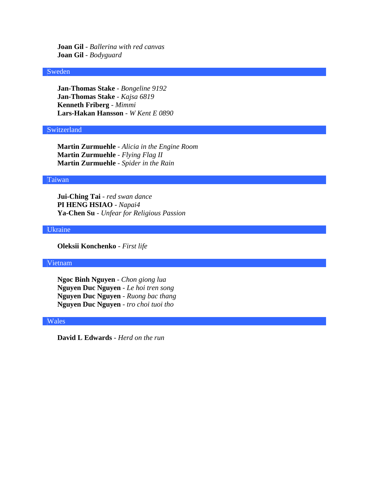**Joan Gil** - *Ballerina with red canvas* **Joan Gil** - *Bodyguard*

## Sweden

**Jan-Thomas Stake** - *Bongeline 9192* **Jan-Thomas Stake** - *Kajsa 6819* **Kenneth Friberg** - *Mimmi* **Lars-Hakan Hansson** - *W Kent E 0890*

# Switzerland

**Martin Zurmuehle** - *Alicia in the Engine Room* **Martin Zurmuehle** - *Flying Flag II* **Martin Zurmuehle** - *Spider in the Rain*

# Taiwan

**Jui-Ching Tai** - *red swan dance* **PI HENG HSIAO** - *Napai4* **Ya-Chen Su** - *Unfear for Religious Passion*

## Ukraine

**Oleksii Konchenko** - *First life*

# Vietnam

**Ngoc Binh Nguyen** - *Chon giong lua* **Nguyen Duc Nguyen** - *Le hoi tren song* **Nguyen Duc Nguyen** - *Ruong bac thang* **Nguyen Duc Nguyen** - *tro choi tuoi tho*

#### Wales

**David L Edwards** - *Herd on the run*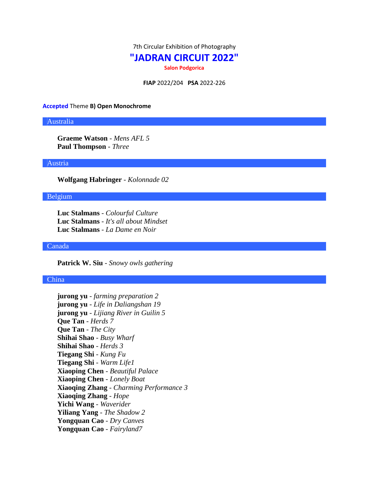7th Circular Exhibition of Photography

# **"JADRAN CIRCUIT 2022"**

**Salon Podgorica**

**FIAP** 2022/204 **PSA** 2022-226

#### **Accepted** Theme **B) Open Monochrome**

## Australia

**Graeme Watson** - *Mens AFL 5* **Paul Thompson** - *Three*

#### Austria

**Wolfgang Habringer** - *Kolonnade 02*

# Belgium

**Luc Stalmans** - *Colourful Culture* **Luc Stalmans** - *It's all about Mindset* **Luc Stalmans** - *La Dame en Noir*

#### Canada

**Patrick W. Siu** - *Snowy owls gathering*

#### China

**jurong yu** - *farming preparation 2* **jurong yu** - *Life in Daliangshan 19* **jurong yu** - *Lijiang River in Guilin 5* **Que Tan** - *Herds 7* **Que Tan** - *The City* **Shihai Shao** - *Busy Wharf* **Shihai Shao** - *Herds 3* **Tiegang Shi** - *Kung Fu* **Tiegang Shi** - *Warm Life1* **Xiaoping Chen** - *Beautiful Palace* **Xiaoping Chen** - *Lonely Boat* **Xiaoqing Zhang** - *Charming Performance 3* **Xiaoqing Zhang** - *Hope* **Yichi Wang** - *Waverider* **Yiliang Yang** - *The Shadow 2* **Yongquan Cao** - *Dry Canves* **Yongquan Cao** - *Fairyland7*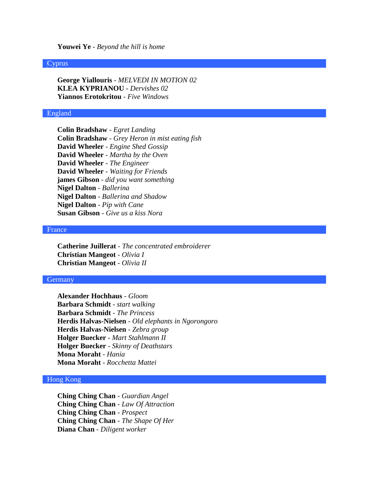#### **Youwei Ye** - *Beyond the hill is home*

## Cyprus

**George Yiallouris** - *MELVEDI IN MOTION 02* **KLEA KYPRIANOU** - *Dervishes 02* **Yiannos Erotokritou** - *Five Windows*

#### England

**Colin Bradshaw** - *Egret Landing* **Colin Bradshaw** - *Grey Heron in mist eating fish* **David Wheeler** - *Engine Shed Gossip* **David Wheeler** - *Martha by the Oven* **David Wheeler** - *The Engineer* **David Wheeler** - *Waiting for Friends* **james Gibson** - *did you want something* **Nigel Dalton** - *Ballerina* **Nigel Dalton** - *Ballerina and Shadow* **Nigel Dalton** - *Pip with Cane* **Susan Gibson** - *Give us a kiss Nora*

## France

**Catherine Juillerat** - *The concentrated embroiderer* **Christian Mangeot** - *Olivia I* **Christian Mangeot** - *Olivia II*

#### Germany

**Alexander Hochhaus** - *Gloom* **Barbara Schmidt** - *start walking* **Barbara Schmidt** - *The Princess* **Herdis Halvas-Nielsen** - *Old elephants in Ngorongoro* **Herdis Halvas-Nielsen** - *Zebra group* **Holger Buecker** - *Mart Stahlmann II* **Holger Buecker** - *Skinny of Deathstars* **Mona Moraht** - *Hania* **Mona Moraht** - *Rocchetta Mattei*

# Hong Kong

**Ching Ching Chan** - *Guardian Angel* **Ching Ching Chan** - *Law Of Attraction* **Ching Ching Chan** - *Prospect* **Ching Ching Chan** - *The Shape Of Her* **Diana Chan** - *Diligent worker*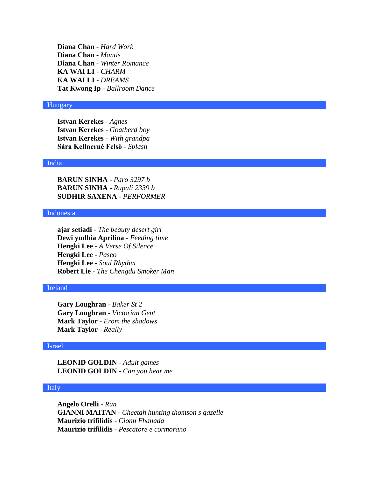**Diana Chan** - *Hard Work* **Diana Chan** - *Mantis* **Diana Chan** - *Winter Romance* **KA WAI LI** - *CHARM* **KA WAI LI** - *DREAMS* **Tat Kwong Ip** - *Ballroom Dance*

### Hungary

**Istvan Kerekes** - *Agnes* **Istvan Kerekes** - *Goatherd boy* **Istvan Kerekes** - *With grandpa* **Sára Kellnerné Felső** - *Splash*

#### India

**BARUN SINHA** - *Paro 3297 b* **BARUN SINHA** - *Rupali 2339 b* **SUDHIR SAXENA** - *PERFORMER*

## Indonesia

**ajar setiadi** - *The beauty desert girl* **Dewi yudhia Aprilina** - *Feeding time* **Hengki Lee** - *A Verse Of Silence* **Hengki Lee** - *Paseo* **Hengki Lee** - *Soul Rhythm* **Robert Lie** - *The Chengdu Smoker Man*

## Ireland

**Gary Loughran** - *Baker St 2* **Gary Loughran** - *Victorian Gent* **Mark Taylor** - *From the shadows* **Mark Taylor** - *Really*

#### Israel

**LEONID GOLDIN** - *Adult games* **LEONID GOLDIN** - *Can you hear me*

## Italy

**Angelo Orelli** - *Run* **GIANNI MAITAN** - *Cheetah hunting thomson s gazelle* **Maurizio trifilidis** - *Cionn Fhanada* **Maurizio trifilidis** - *Pescatore e cormorano*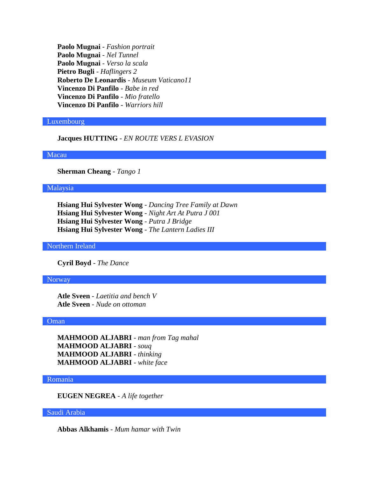**Paolo Mugnai** - *Fashion portrait* **Paolo Mugnai** - *Nel Tunnel* **Paolo Mugnai** - *Verso la scala* **Pietro Bugli** - *Haflingers 2* **Roberto De Leonardis** - *Museum Vaticano11* **Vincenzo Di Panfilo** - *Babe in red* **Vincenzo Di Panfilo** - *Mio fratello* **Vincenzo Di Panfilo** - *Warriors hill*

## Luxembourg

**Jacques HUTTING** - *EN ROUTE VERS L EVASION*

# Macau

**Sherman Cheang** - *Tango 1*

## Malaysia

**Hsiang Hui Sylvester Wong** - *Dancing Tree Family at Dawn* **Hsiang Hui Sylvester Wong** - *Night Art At Putra J 001* **Hsiang Hui Sylvester Wong** - *Putra J Bridge* **Hsiang Hui Sylvester Wong** - *The Lantern Ladies III*

#### Northern Ireland

**Cyril Boyd** - *The Dance*

#### Norway

**Atle Sveen** - *Laetitia and bench V* **Atle Sveen** - *Nude on ottoman*

# Oman

**MAHMOOD ALJABRI** - *man from Tag mahal* **MAHMOOD ALJABRI** - *souq* **MAHMOOD ALJABRI** - *thinking* **MAHMOOD ALJABRI** - *white face*

#### Romania

**EUGEN NEGREA** - *A life together*

## Saudi Arabia

**Abbas Alkhamis** - *Mum hamar with Twin*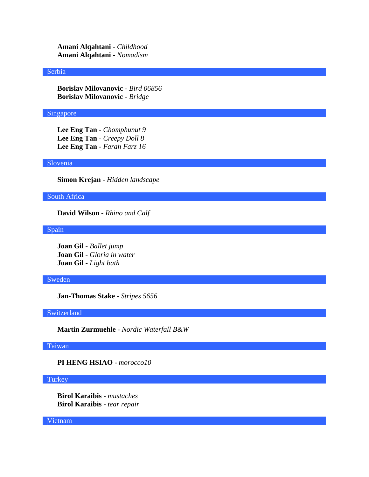**Amani Alqahtani** - *Childhood* **Amani Alqahtani** - *Nomadism*

### Serbia

**Borislav Milovanovic** - *Bird 06856* **Borislav Milovanovic** - *Bridge*

# Singapore

**Lee Eng Tan** - *Chomphunut 9* **Lee Eng Tan** - *Creepy Doll 8* **Lee Eng Tan** - *Farah Farz 16*

## Slovenia

**Simon Krejan** - *Hidden landscape*

South Africa

**David Wilson** - *Rhino and Calf*

Spain

**Joan Gil** - *Ballet jump* **Joan Gil** - *Gloria in water* **Joan Gil** - *Light bath*

## Sweden

**Jan-Thomas Stake** - *Stripes 5656*

# Switzerland

**Martin Zurmuehle** - *Nordic Waterfall B&W*

# Taiwan

**PI HENG HSIAO** - *morocco10*

## **Turkey**

**Birol Karaibis** - *mustaches* **Birol Karaibis** - *tear repair*

Vietnam